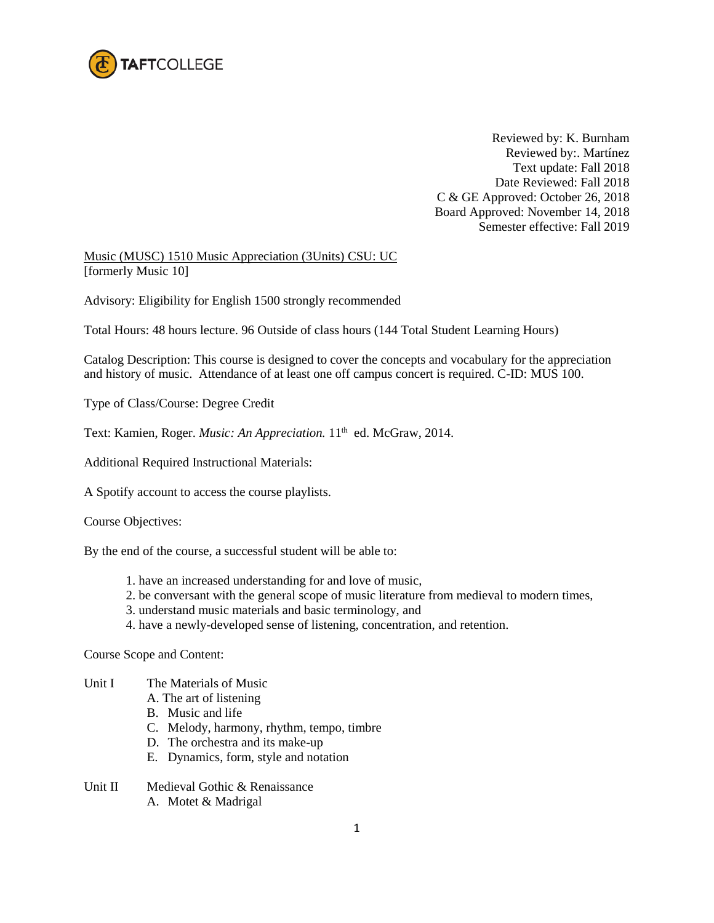

Reviewed by: K. Burnham Reviewed by:. Martínez Text update: Fall 2018 Date Reviewed: Fall 2018 C & GE Approved: October 26, 2018 Board Approved: November 14, 2018 Semester effective: Fall 2019

Music (MUSC) 1510 Music Appreciation (3Units) CSU: UC [formerly Music 10]

Advisory: Eligibility for English 1500 strongly recommended

Total Hours: 48 hours lecture. 96 Outside of class hours (144 Total Student Learning Hours)

Catalog Description: This course is designed to cover the concepts and vocabulary for the appreciation and history of music. Attendance of at least one off campus concert is required. C-ID: MUS 100.

Type of Class/Course: Degree Credit

Text: Kamien, Roger. *Music: An Appreciation*. 11<sup>th</sup> ed. McGraw, 2014.

Additional Required Instructional Materials:

A Spotify account to access the course playlists.

Course Objectives:

By the end of the course, a successful student will be able to:

- 1. have an increased understanding for and love of music,
- 2. be conversant with the general scope of music literature from medieval to modern times,
- 3. understand music materials and basic terminology, and
- 4. have a newly-developed sense of listening, concentration, and retention.

Course Scope and Content:

- Unit I The Materials of Music
	- A. The art of listening
	- B. Music and life
	- C. Melody, harmony, rhythm, tempo, timbre
	- D. The orchestra and its make-up
	- E. Dynamics, form, style and notation
- Unit II Medieval Gothic & Renaissance A. Motet & Madrigal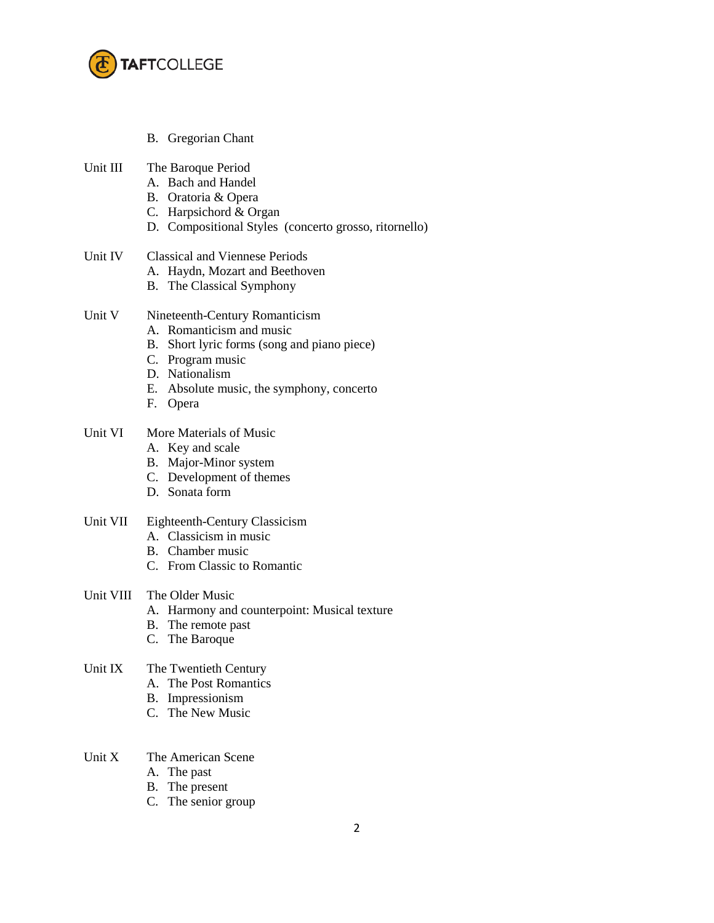

B. Gregorian Chant

| Unit III<br>The Baroque Period |
|--------------------------------|
|--------------------------------|

- A. Bach and Handel
- B. Oratoria & Opera
- C. Harpsichord & Organ
- D. Compositional Styles (concerto grosso, ritornello)
- Unit IV Classical and Viennese Periods
	- A. Haydn, Mozart and Beethoven
	- B. The Classical Symphony
- Unit V Nineteenth-Century Romanticism
	- A. Romanticism and music
	- B. Short lyric forms (song and piano piece)
	- C. Program music
	- D. Nationalism
	- E. Absolute music, the symphony, concerto
	- F. Opera

## Unit VI More Materials of Music

- A. Key and scale
- B. Major-Minor system
- C. Development of themes
- D. Sonata form

## Unit VII Eighteenth-Century Classicism

- A. Classicism in music
- B. Chamber music
- C. From Classic to Romantic
- Unit VIII The Older Music
	- A. Harmony and counterpoint: Musical texture
	- B. The remote past
	- C. The Baroque

## Unit IX The Twentieth Century

- A. The Post Romantics
- B. Impressionism
- C. The New Music

## Unit X The American Scene

- A. The past
- B. The present
- C. The senior group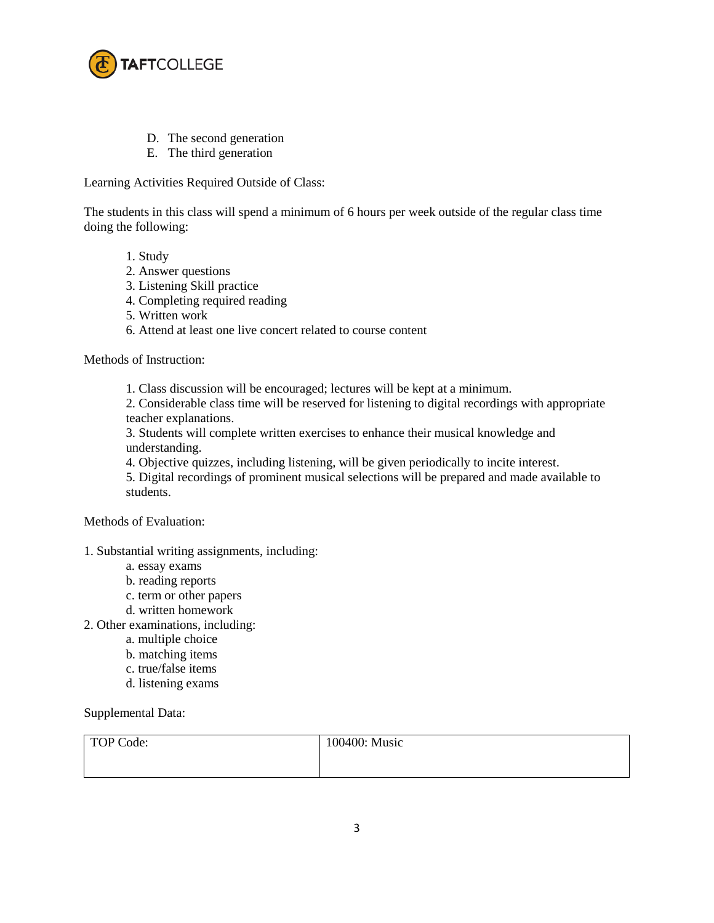

- D. The second generation
- E. The third generation

Learning Activities Required Outside of Class:

The students in this class will spend a minimum of 6 hours per week outside of the regular class time doing the following:

- 1. Study
- 2. Answer questions
- 3. Listening Skill practice
- 4. Completing required reading
- 5. Written work
- 6. Attend at least one live concert related to course content

Methods of Instruction:

1. Class discussion will be encouraged; lectures will be kept at a minimum.

2. Considerable class time will be reserved for listening to digital recordings with appropriate teacher explanations.

3. Students will complete written exercises to enhance their musical knowledge and understanding.

4. Objective quizzes, including listening, will be given periodically to incite interest.

5. Digital recordings of prominent musical selections will be prepared and made available to students.

Methods of Evaluation:

- 1. Substantial writing assignments, including:
	- a. essay exams
	- b. reading reports
	- c. term or other papers
	- d. written homework
- 2. Other examinations, including:
	- a. multiple choice
	- b. matching items
	- c. true/false items
	- d. listening exams

Supplemental Data:

| TOP Code: | 100400: Music |
|-----------|---------------|
|           |               |
|           |               |